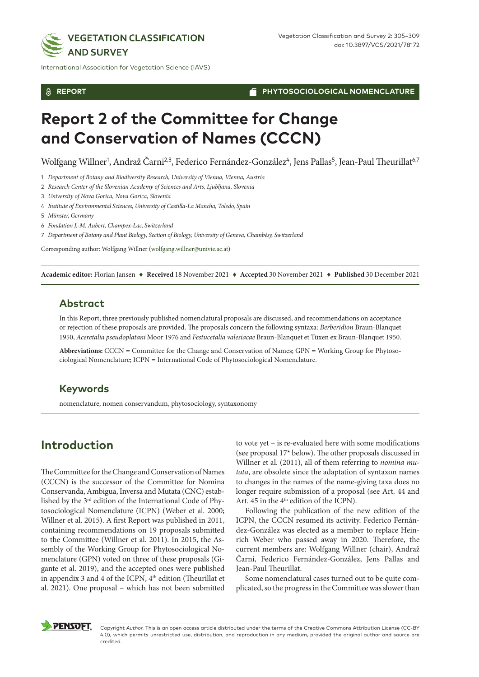

International Association for Vegetation Science (IAVS)

**REPORT**

**PHYTOSOCIOLOGICAL NOMENCLATURE**

# **Report 2 of the Committee for Change and Conservation of Names (CCCN)**

Wolfgang Willner<sup>1</sup>, Andraž Čarni<sup>2,3</sup>, Federico Fernández-González<sup>4</sup>, Jens Pallas<sup>5</sup>, Jean-Paul Theurillat<sup>6,7</sup>

1 *Department of Botany and Biodiversity Research, University of Vienna, Vienna, Austria*

2 *Research Center of the Slovenian Academy of Sciences and Arts, Ljubljana, Slovenia*

3 *University of Nova Gorica, Nova Gorica, Slovenia*

4 *Institute of Environmental Sciences, University of Castilla-La Mancha, Toledo, Spain*

5 *Münster, Germany*

6 *Fondation J.-M. Aubert, Champex-Lac, Switzerland*

7 *Department of Botany and Plant Biology, Section of Biology, University of Geneva, Chambésy, Switzerland*

Corresponding author: Wolfgang Willner ([wolfgang.willner@univie.ac.at\)](mailto:wolfgang.willner@univie.ac.at)

**Academic editor:** Florian Jansen ♦ **Received** 18 November 2021 ♦ **Accepted** 30 November 2021 ♦ **Published** 30 December 2021

#### **Abstract**

In this Report, three previously published nomenclatural proposals are discussed, and recommendations on acceptance or rejection of these proposals are provided. The proposals concern the following syntaxa: *Berberidion* Braun-Blanquet 1950, *Aceretalia pseudoplatani* Moor 1976 and *Festucetalia valesiacae* Braun-Blanquet et Tüxen ex Braun-Blanquet 1950.

**Abbreviations:** CCCN = Committee for the Change and Conservation of Names; GPN = Working Group for Phytosociological Nomenclature; ICPN = International Code of Phytosociological Nomenclature.

#### **Keywords**

nomenclature, nomen conservandum, phytosociology, syntaxonomy

# **Introduction**

The Committee for the Change and Conservation of Names (CCCN) is the successor of the Committee for Nomina Conservanda, Ambigua, Inversa and Mutata (CNC) established by the 3rd edition of the International Code of Phytosociological Nomenclature (ICPN) (Weber et al. 2000; Willner et al. 2015). A first Report was published in 2011, containing recommendations on 19 proposals submitted to the Committee (Willner et al. 2011). In 2015, the Assembly of the Working Group for Phytosociological Nomenclature (GPN) voted on three of these proposals (Gigante et al. 2019), and the accepted ones were published in appendix 3 and 4 of the ICPN, 4<sup>th</sup> edition (Theurillat et al. 2021). One proposal – which has not been submitted

to vote yet – is re-evaluated here with some modifications (see proposal 17\* below). The other proposals discussed in Willner et al. (2011), all of them referring to *nomina mutata*, are obsolete since the adaptation of syntaxon names to changes in the names of the name-giving taxa does no longer require submission of a proposal (see Art. 44 and Art. 45 in the  $4<sup>th</sup>$  edition of the ICPN).

Following the publication of the new edition of the ICPN, the CCCN resumed its activity. Federico Fernández-González was elected as a member to replace Heinrich Weber who passed away in 2020. Therefore, the current members are: Wolfgang Willner (chair), Andraž Čarni, Federico Fernández-González, Jens Pallas and Jean-Paul Theurillat.

Some nomenclatural cases turned out to be quite complicated, so the progress in the Committee was slower than



Copyright *Author.* This is an open access article distributed under the terms of the Creative Commons Attribution License (CC-BY 4.0), which permits unrestricted use, distribution, and reproduction in any medium, provided the original author and source are credited.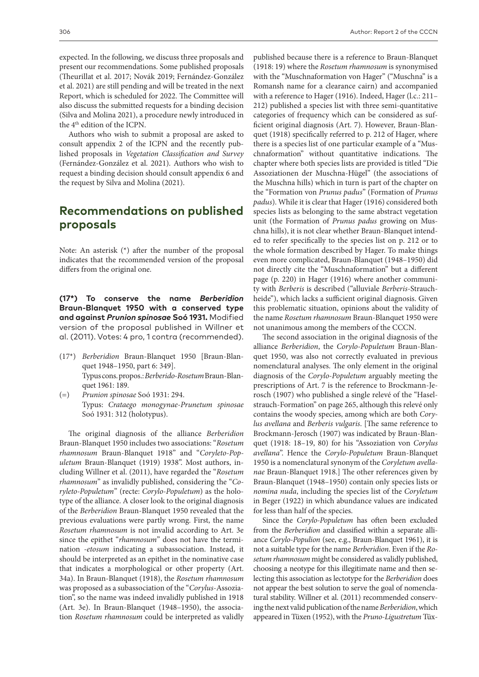expected. In the following, we discuss three proposals and present our recommendations. Some published proposals (Theurillat et al. 2017; Novák 2019; Fernández-González et al. 2021) are still pending and will be treated in the next Report, which is scheduled for 2022. The Committee will also discuss the submitted requests for a binding decision (Silva and Molina 2021), a procedure newly introduced in the 4th edition of the ICPN.

Authors who wish to submit a proposal are asked to consult appendix 2 of the ICPN and the recently published proposals in *Vegetation Classification and Survey* (Fernández-González et al. 2021). Authors who wish to request a binding decision should consult appendix 6 and the request by Silva and Molina (2021).

## **Recommendations on published proposals**

Note: An asterisk (\*) after the number of the proposal indicates that the recommended version of the proposal differs from the original one.

**(17\*) To conserve the name** *Berberidion* **Braun-Blanquet 1950 with a conserved type and against** *Prunion spinosae* **Soó 1931.** Modified version of the proposal published in Willner et al. (2011). Votes: 4 pro, 1 contra (recommended).

- (17\*) *Berberidion* Braun-Blanquet 1950 [Braun-Blanquet 1948–1950, part 6: 349]. Typus cons. propos.: *Berberido-Rosetum* Braun-Blanquet 1961: 189.
- (=) *Prunion spinosae* Soó 1931: 294. Typus: *Crataego monogynae-Prunetum spinosae* Soó 1931: 312 (holotypus).

The original diagnosis of the alliance *Berberidion*  Braun-Blanquet 1950 includes two associations: "*Rosetum rhamnosum* Braun-Blanquet 1918" and "*Coryleto-Populetum* Braun-Blanquet (1919) 1938". Most authors, including Willner et al. (2011), have regarded the "*Rosetum rhamnosum*" as invalidly published, considering the "*Coryleto-Populetum*" (recte: *Corylo-Populetum*) as the holotype of the alliance. A closer look to the original diagnosis of the *Berberidion* Braun-Blanquet 1950 revealed that the previous evaluations were partly wrong. First, the name *Rosetum rhamnosum* is not invalid according to Art. 3e since the epithet "*rhamnosum*" does not have the termination *-etosum* indicating a subassociation. Instead, it should be interpreted as an epithet in the nominative case that indicates a morphological or other property (Art. 34a). In Braun-Blanquet (1918), the *Rosetum rhamnosum* was proposed as a subassociation of the "*Corylus*-Assoziation", so the name was indeed invalidly published in 1918 (Art. 3e). In Braun-Blanquet (1948–1950), the association *Rosetum rhamnosum* could be interpreted as validly published because there is a reference to Braun-Blanquet (1918: 19) where the *Rosetum rhamnosum* is synonymised with the "Muschnaformation von Hager" ("Muschna" is a Romansh name for a clearance cairn) and accompanied with a reference to Hager (1916). Indeed, Hager (l.c.: 211– 212) published a species list with three semi-quantitative categories of frequency which can be considered as sufficient original diagnosis (Art. 7). However, Braun-Blanquet (1918) specifically referred to p. 212 of Hager, where there is a species list of one particular example of a "Muschnaformation" without quantitative indications. The chapter where both species lists are provided is titled "Die Assoziationen der Muschna-Hügel" (the associations of the Muschna hills) which in turn is part of the chapter on the "Formation von *Prunus padus*" (Formation of *Prunus padus*). While it is clear that Hager (1916) considered both species lists as belonging to the same abstract vegetation unit (the Formation of *Prunus padus* growing on Muschna hills), it is not clear whether Braun-Blanquet intended to refer specifically to the species list on p. 212 or to the whole formation described by Hager. To make things even more complicated, Braun-Blanquet (1948–1950) did not directly cite the "Muschnaformation" but a different page (p. 220) in Hager (1916) where another community with *Berberis* is described ("alluviale *Berberis*-Strauchheide"), which lacks a sufficient original diagnosis. Given this problematic situation, opinions about the validity of the name *Rosetum rhamnosum* Braun-Blanquet 1950 were not unanimous among the members of the CCCN.

The second association in the original diagnosis of the alliance *Berberidion*, the *Corylo-Populetum* Braun-Blanquet 1950, was also not correctly evaluated in previous nomenclatural analyses. The only element in the original diagnosis of the *Corylo-Populetum* arguably meeting the prescriptions of Art. 7 is the reference to Brockmann-Jerosch (1907) who published a single relevé of the "Haselstrauch-Formation" on page 265, although this relevé only contains the woody species, among which are both *Corylus avellana* and *Berberis vulgaris*. [The same reference to Brockmann-Jerosch (1907) was indicated by Braun-Blanquet (1918: 18–19, 80) for his "Assoziation von *Corylus avellana*". Hence the *Corylo-Populetum* Braun-Blanquet 1950 is a nomenclatural synonym of the *Coryletum avellanae* Braun-Blanquet 1918.] The other references given by Braun-Blanquet (1948–1950) contain only species lists or *nomina nuda*, including the species list of the *Coryletum*  in Beger (1922) in which abundance values are indicated for less than half of the species.

Since the *Corylo-Populetum* has often been excluded from the *Berberidion* and classified within a separate alliance *Corylo-Populion* (see, e.g., Braun-Blanquet 1961), it is not a suitable type for the name *Berberidion*. Even if the *Rosetum rhamnosum* might be considered as validly published, choosing a neotype for this illegitimate name and then selecting this association as lectotype for the *Berberidion* does not appear the best solution to serve the goal of nomenclatural stability. Willner et al. (2011) recommended conserving the next valid publication of the name *Berberidion*, which appeared in Tüxen (1952), with the *Pruno-Ligustretum* Tüx-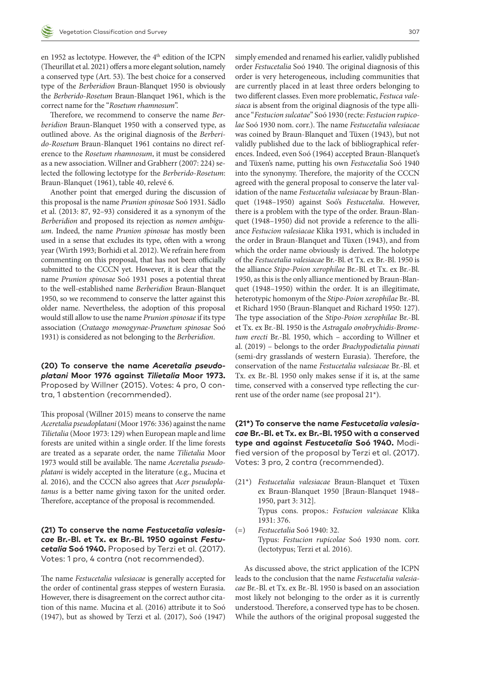en 1952 as lectotype. However, the 4<sup>th</sup> edition of the ICPN (Theurillat et al. 2021) offers a more elegant solution, namely a conserved type (Art. 53). The best choice for a conserved type of the *Berberidion* Braun-Blanquet 1950 is obviously the *Berberido-Rosetum* Braun-Blanquet 1961, which is the correct name for the "*Rosetum rhamnosum*".

Therefore, we recommend to conserve the name *Berberidion* Braun-Blanquet 1950 with a conserved type, as outlined above. As the original diagnosis of the *Berberido-Rosetum* Braun-Blanquet 1961 contains no direct reference to the *Rosetum rhamnosum*, it must be considered as a new association. Willner and Grabherr (2007: 224) selected the following lectotype for the *Berberido-Rosetum*: Braun-Blanquet (1961), table 40, relevé 6.

Another point that emerged during the discussion of this proposal is the name *Prunion spinosae* Soó 1931. Sádlo et al. (2013: 87, 92–93) considered it as a synonym of the *Berberidion* and proposed its rejection as *nomen ambiguum*. Indeed, the name *Prunion spinosae* has mostly been used in a sense that excludes its type, often with a wrong year (Wirth 1993; Borhidi et al. 2012). We refrain here from commenting on this proposal, that has not been officially submitted to the CCCN yet. However, it is clear that the name *Prunion spinosae* Soó 1931 poses a potential threat to the well-established name *Berberidion* Braun-Blanquet 1950, so we recommend to conserve the latter against this older name. Nevertheless, the adoption of this proposal would still allow to use the name *Prunion spinosae* if its type association (*Crataego monogynae-Prunetum spinosae* Soó 1931) is considered as not belonging to the *Berberidion*.

**(20) To conserve the name** *Aceretalia pseudoplatani* **Moor 1976 against** *Tilietalia* **Moor 1973.**  Proposed by Willner (2015). Votes: 4 pro, 0 contra, 1 abstention (recommended).

This proposal (Willner 2015) means to conserve the name *Aceretalia pseudoplatani* (Moor 1976: 336) against the name *Tilietalia* (Moor 1973: 129) when European maple and lime forests are united within a single order. If the lime forests are treated as a separate order, the name *Tilietalia* Moor 1973 would still be available. The name *Aceretalia pseudoplatani* is widely accepted in the literature (e.g., Mucina et al. 2016), and the CCCN also agrees that *Acer pseudoplatanus* is a better name giving taxon for the united order. Therefore, acceptance of the proposal is recommended.

**(21) To conserve the name** *Festucetalia valesiacae* **Br.-Bl. et Tx. ex Br.-Bl. 1950 against** *Festucetalia* **Soó 1940.** Proposed by Terzi et al. (2017). Votes: 1 pro, 4 contra (not recommended).

The name *Festucetalia valesiacae* is generally accepted for the order of continental grass steppes of western Eurasia. However, there is disagreement on the correct author citation of this name. Mucina et al. (2016) attribute it to Soó (1947), but as showed by Terzi et al. (2017), Soó (1947)

simply emended and renamed his earlier, validly published order *Festucetalia* Soó 1940. The original diagnosis of this order is very heterogeneous, including communities that are currently placed in at least three orders belonging to two different classes. Even more problematic, *Festuca valesiaca* is absent from the original diagnosis of the type alliance "*Festucion sulcatae*" Soó 1930 (recte: *Festucion rupicolae* Soó 1930 nom. corr.). The name *Festucetalia valesiacae* was coined by Braun-Blanquet and Tüxen (1943), but not validly published due to the lack of bibliographical references. Indeed, even Soó (1964) accepted Braun-Blanquet's and Tüxen's name, putting his own *Festucetalia* Soó 1940 into the synonymy. Therefore, the majority of the CCCN agreed with the general proposal to conserve the later validation of the name *Festucetalia valesiacae* by Braun-Blanquet (1948–1950) against Soó's *Festucetalia*. However, there is a problem with the type of the order. Braun-Blanquet (1948–1950) did not provide a reference to the alliance *Festucion valesiacae* Klika 1931, which is included in the order in Braun-Blanquet and Tüxen (1943), and from which the order name obviously is derived. The holotype of the *Festucetalia valesiacae* Br.-Bl. et Tx. ex Br.-Bl. 1950 is the alliance *Stipo-Poion xerophilae* Br.-Bl. et Tx. ex Br.-Bl. 1950, as this is the only alliance mentioned by Braun-Blanquet (1948–1950) within the order. It is an illegitimate, heterotypic homonym of the *Stipo-Poion xerophilae* Br.-Bl. et Richard 1950 (Braun-Blanquet and Richard 1950: 127). The type association of the *Stipo-Poion xerophilae* Br.-Bl. et Tx. ex Br.-Bl. 1950 is the *Astragalo onobrychidis-Brometum erecti* Br.-Bl. 1950, which – according to Willner et al. (2019) – belongs to the order *Brachypodietalia pinnati* (semi-dry grasslands of western Eurasia). Therefore, the conservation of the name *Festucetalia valesiacae* Br.-Bl. et Tx. ex Br.-Bl. 1950 only makes sense if it is, at the same time, conserved with a conserved type reflecting the current use of the order name (see proposal 21\*).

**(21\*) To conserve the name** *Festucetalia valesiacae* **Br.-Bl. et Tx. ex Br.-Bl. 1950 with a conserved type and against** *Festucetalia* **Soó 1940.** Modified version of the proposal by Terzi et al. (2017). Votes: 3 pro, 2 contra (recommended).

- (21\*) *Festucetalia valesiacae* Braun-Blanquet et Tüxen ex Braun-Blanquet 1950 [Braun-Blanquet 1948– 1950, part 3: 312]. Typus cons. propos.: *Festucion valesiacae* Klika 1931: 376.
- (=) *Festucetalia* Soó 1940: 32. Typus: *Festucion rupicolae* Soó 1930 nom. corr. (lectotypus; Terzi et al. 2016).

As discussed above, the strict application of the ICPN leads to the conclusion that the name *Festucetalia valesiacae* Br.-Bl. et Tx. ex Br.-Bl. 1950 is based on an association most likely not belonging to the order as it is currently understood. Therefore, a conserved type has to be chosen. While the authors of the original proposal suggested the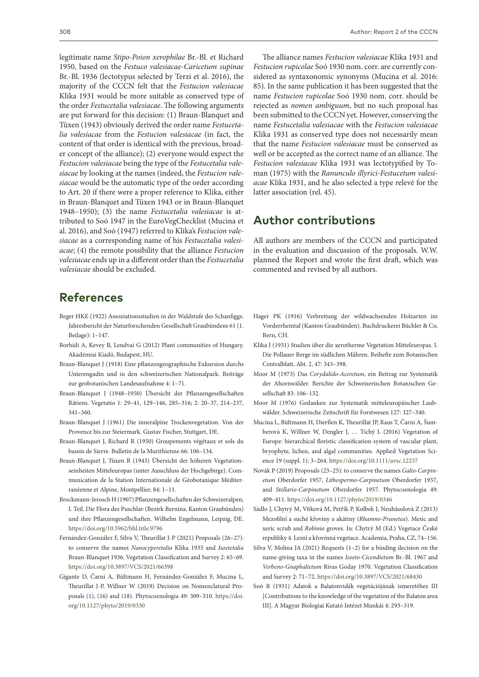legitimate name *Stipo-Poion xerophilae* Br.-Bl. et Richard 1950, based on the *Festuco valesiacae-Caricetum supinae* Br.-Bl. 1936 (lectotypus selected by Terzi et al. 2016), the majority of the CCCN felt that the *Festucion valesiacae* Klika 1931 would be more suitable as conserved type of the order *Festucetalia valesiacae*. The following arguments are put forward for this decision: (1) Braun-Blanquet and Tüxen (1943) obviously derived the order name *Festucetalia valesiacae* from the *Festucion valesiacae* (in fact, the content of that order is identical with the previous, broader concept of the alliance); (2) everyone would expect the *Festucion valesiacae* being the type of the *Festucetalia valesiacae* by looking at the names (indeed, the *Festucion valesiacae* would be the automatic type of the order according to Art. 20 if there were a proper reference to Klika, either in Braun-Blanquet and Tüxen 1943 or in Braun-Blanquet 1948–1950); (3) the name *Festucetalia valesiacae* is attributed to Soó 1947 in the EuroVegChecklist (Mucina et al. 2016), and Soó (1947) referred to Klika's *Festucion valesiacae* as a corresponding name of his *Festucetalia valesiacae*; (4) the remote possibility that the alliance *Festucion valesiacae* ends up in a different order than the *Festucetalia valesiacae* should be excluded.

## **References**

- Beger HKE (1922) Assoziationsstudien in der Waldstufe des Schanfiggs. Jahresbericht der Naturforschenden Gesellschaft Graubündens 61 (1. Beilage): 1–147.
- Borhidi A, Kevey B, Lendvai G (2012) Plant communities of Hungary. Akadémiai Kiadó, Budapest, HU.
- Braun-Blanquet J (1918) Eine pflanzengeographische Exkursion durchs Unterengadin und in den schweizerischen Nationalpark. Beiträge zur geobotanischen Landesaufnahme 4: 1–71.
- Braun-Blanquet J (1948–1950) Übersicht der Pflanzengesellschaften Rätiens. Vegetatio 1: 29–41, 129–146, 285–316; 2: 20–37, 214–237, 341–360.
- Braun-Blanquet J (1961) Die inneralpine Trockenvegetation. Von der Provence bis zur Steiermark. Gustav Fischer, Stuttgart, DE.
- Braun-Blanquet J, Richard R (1950) Groupements végétaux et sols du bassin de Sierre. Bulletin de la Murithienne 66: 106–134.
- Braun-Blanquet J, Tüxen R (1943) Übersicht der höheren Vegetationseinheiten Mitteleuropas (unter Ausschluss der Hochgebirge). Communication de la Station Internationale de Géobotanique Méditerranéenne et Alpine, Montpellier, 84: 1–11.
- Brockmann-Jerosch H (1907) Pflanzengesellschaften der Schweizeralpen, I. Teil. Die Flora des Puschlav (Bezirk Bernina, Kanton Graubünden) und ihre Pflanzengesellschaften. Wilhelm Engelmann, Leipzig, DE. <https://doi.org/10.5962/bhl.title.9796>
- Fernández-González F, Silva V, Theurillat J-P (2021) Proposals (26–27): to conserve the names *Nanocyperetalia* Klika 1935 and *Isoetetalia* Braun-Blanquet 1936. Vegetation Classification and Survey 2: 65–69. <https://doi.org/10.3897/VCS/2021/66398>
- Gigante D, Čarni A, Bültmann H, Fernández-González F, Mucina L, Theurillat J-P, Willner W (2019) Decision on Nomenclatural Proposals (1), (16) and (18). Phytocoenologia 49: 309–310. [https://doi.](https://doi.org/10.1127/phyto/2019/0330) [org/10.1127/phyto/2019/0330](https://doi.org/10.1127/phyto/2019/0330)

The alliance names *Festucion valesiacae* Klika 1931 and *Festucion rupicolae* Soó 1930 nom. corr. are currently considered as syntaxonomic synonyms (Mucina et al. 2016: 85). In the same publication it has been suggested that the name *Festucion rupicolae* Soó 1930 nom. corr. should be rejected as *nomen ambiguum*, but no such proposal has been submitted to the CCCN yet. However, conserving the name *Festucetalia valesiacae* with the *Festucion valesiacae* Klika 1931 as conserved type does not necessarily mean that the name *Festucion valesiacae* must be conserved as well or be accepted as the correct name of an alliance. The *Festucion valesiacae* Klika 1931 was lectotypified by Toman (1975) with the *Ranunculo illyrici-Festucetum valesiacae* Klika 1931, and he also selected a type relevé for the latter association (rel. 45).

### **Author contributions**

All authors are members of the CCCN and participated in the evaluation and discussion of the proposals. W.W. planned the Report and wrote the first draft, which was commented and revised by all authors.

- Hager PK (1916) Verbreitung der wildwachsenden Holzarten im Vorderrheintal (Kanton Graubünden). Buchdruckerei Büchler & Co, Bern, CH.
- Klika J (1931) Studien über die xerotherme Vegetation Mitteleuropas. I. Die Pollauer Berge im südlichen Mähren. Beihefte zum Botanischen Centralblatt, Abt. 2, 47: 343–398.
- Moor M (1973) Das *Corydalido-Aceretum*, ein Beitrag zur Systematik der Ahornwälder. Berichte der Schweizerischen Botanischen Gesellschaft 83: 106–132.
- Moor M (1976) Gedanken zur Systematik mitteleuropäischer Laubwälder. Schweizerische Zeitschrift für Forstwesen 127: 327–340.
- Mucina L, Bültmann H, Dierßen K, Theurillat JP, Raus T, Čarni A, Šumberová K, Willner W, Dengler J, … Tichý L (2016) Vegetation of Europe: hierarchical floristic classification system of vascular plant, bryophyte, lichen, and algal communities. Applied Vegetation Science 19 (suppl. 1): 3–264.<https://doi.org/10.1111/avsc.12257>
- Novák P (2019) Proposals (23–25): to conserve the names *Galio-Carpinetum* Oberdorfer 1957, *Lithospermo-Carpinetum* Oberdorfer 1957, and *Stellario-Carpinetum* Oberdorfer 1957. Phytocoenologia 49: 409–411.<https://doi.org/10.1127/phyto/2019/0346>
- Sádlo J, Chytrý M, Vítková M, Petřík P, Kolbek J, Neuhäuslová Z (2013) Mezofilní a suché křoviny a akátiny (*Rhamno-Prunetea*). Mesic and xeric scrub and *Robinia* groves. In: Chytrý M (Ed.) Vegetace České republiky 4. Lesní a křovinná vegetace. Academia, Praha, CZ, 74–156.
- Silva V, Molina JA (2021) Requests (1–2) for a binding decision on the name-giving taxa in the names *Isoeto-Cicendietum* Br.-Bl. 1967 and *Verbeno-Gnaphalietum* Rivas Goday 1970. Vegetation Classification and Survey 2: 71–72.<https://doi.org/10.3897/VCS/2021/68430>
- Soó R (1931) Adatok a Balatonvidék vegetációjának ismeretéhez III [Contributions to the knowledge of the vegetation of the Balaton area III]. A Magyar Biologiai Kutató Intézet Munkái 4: 293–319.